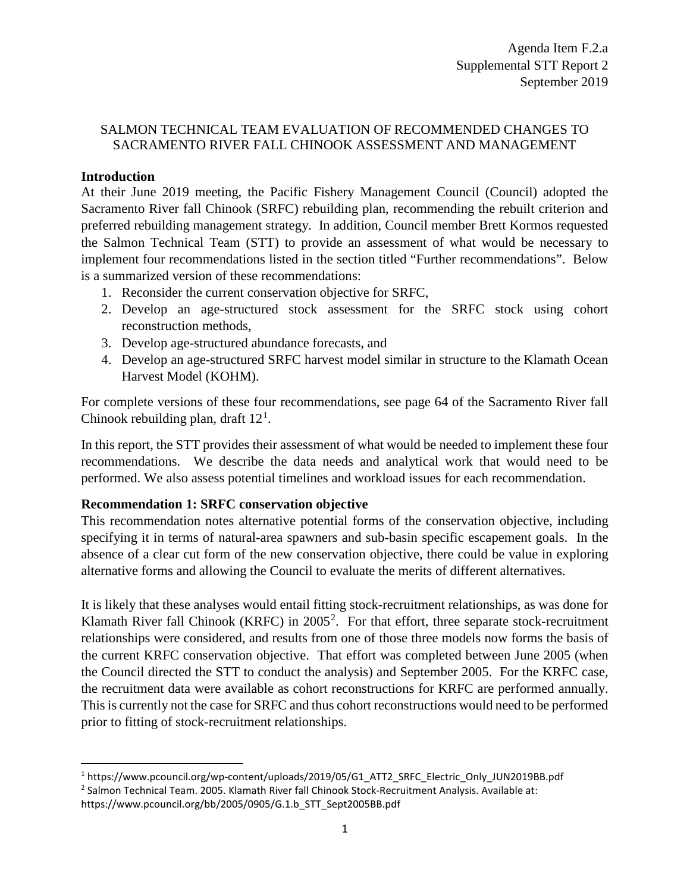#### SALMON TECHNICAL TEAM EVALUATION OF RECOMMENDED CHANGES TO SACRAMENTO RIVER FALL CHINOOK ASSESSMENT AND MANAGEMENT

#### **Introduction**

At their June 2019 meeting, the Pacific Fishery Management Council (Council) adopted the Sacramento River fall Chinook (SRFC) rebuilding plan, recommending the rebuilt criterion and preferred rebuilding management strategy. In addition, Council member Brett Kormos requested the Salmon Technical Team (STT) to provide an assessment of what would be necessary to implement four recommendations listed in the section titled "Further recommendations". Below is a summarized version of these recommendations:

- 1. Reconsider the current conservation objective for SRFC,
- 2. Develop an age-structured stock assessment for the SRFC stock using cohort reconstruction methods,
- 3. Develop age-structured abundance forecasts, and
- 4. Develop an age-structured SRFC harvest model similar in structure to the Klamath Ocean Harvest Model (KOHM).

For complete versions of these four recommendations, see page 64 of the Sacramento River fall Chinook rebuilding plan, draft  $12<sup>1</sup>$  $12<sup>1</sup>$ .

In this report, the STT provides their assessment of what would be needed to implement these four recommendations. We describe the data needs and analytical work that would need to be performed. We also assess potential timelines and workload issues for each recommendation.

#### **Recommendation 1: SRFC conservation objective**

This recommendation notes alternative potential forms of the conservation objective, including specifying it in terms of natural-area spawners and sub-basin specific escapement goals. In the absence of a clear cut form of the new conservation objective, there could be value in exploring alternative forms and allowing the Council to evaluate the merits of different alternatives.

It is likely that these analyses would entail fitting stock-recruitment relationships, as was done for Klamath River fall Chinook (KRFC) in  $2005^2$  $2005^2$ . For that effort, three separate stock-recruitment relationships were considered, and results from one of those three models now forms the basis of the current KRFC conservation objective. That effort was completed between June 2005 (when the Council directed the STT to conduct the analysis) and September 2005. For the KRFC case, the recruitment data were available as cohort reconstructions for KRFC are performed annually. This is currently not the case for SRFC and thus cohort reconstructions would need to be performed prior to fitting of stock-recruitment relationships.

<span id="page-0-0"></span> <sup>1</sup> https://www.pcouncil.org/wp-content/uploads/2019/05/G1\_ATT2\_SRFC\_Electric\_Only\_JUN2019BB.pdf <sup>2</sup> Salmon Technical Team. 2005. Klamath River fall Chinook Stock-Recruitment Analysis. Available at:

<span id="page-0-1"></span>https://www.pcouncil.org/bb/2005/0905/G.1.b\_STT\_Sept2005BB.pdf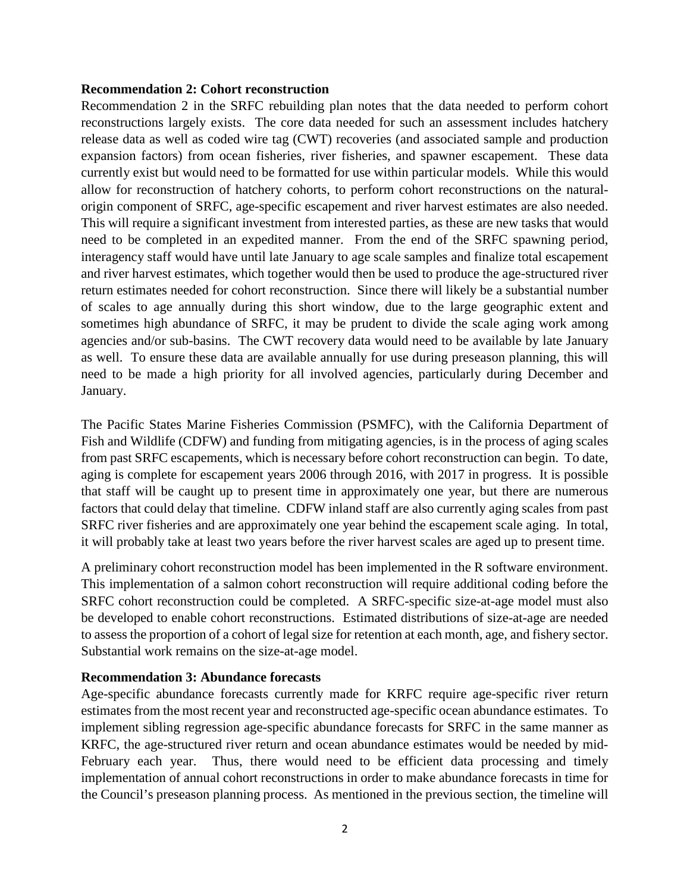#### **Recommendation 2: Cohort reconstruction**

Recommendation 2 in the SRFC rebuilding plan notes that the data needed to perform cohort reconstructions largely exists. The core data needed for such an assessment includes hatchery release data as well as coded wire tag (CWT) recoveries (and associated sample and production expansion factors) from ocean fisheries, river fisheries, and spawner escapement. These data currently exist but would need to be formatted for use within particular models. While this would allow for reconstruction of hatchery cohorts, to perform cohort reconstructions on the naturalorigin component of SRFC, age-specific escapement and river harvest estimates are also needed. This will require a significant investment from interested parties, as these are new tasks that would need to be completed in an expedited manner. From the end of the SRFC spawning period, interagency staff would have until late January to age scale samples and finalize total escapement and river harvest estimates, which together would then be used to produce the age-structured river return estimates needed for cohort reconstruction. Since there will likely be a substantial number of scales to age annually during this short window, due to the large geographic extent and sometimes high abundance of SRFC, it may be prudent to divide the scale aging work among agencies and/or sub-basins. The CWT recovery data would need to be available by late January as well. To ensure these data are available annually for use during preseason planning, this will need to be made a high priority for all involved agencies, particularly during December and January.

The Pacific States Marine Fisheries Commission (PSMFC), with the California Department of Fish and Wildlife (CDFW) and funding from mitigating agencies, is in the process of aging scales from past SRFC escapements, which is necessary before cohort reconstruction can begin. To date, aging is complete for escapement years 2006 through 2016, with 2017 in progress. It is possible that staff will be caught up to present time in approximately one year, but there are numerous factors that could delay that timeline. CDFW inland staff are also currently aging scales from past SRFC river fisheries and are approximately one year behind the escapement scale aging. In total, it will probably take at least two years before the river harvest scales are aged up to present time.

A preliminary cohort reconstruction model has been implemented in the R software environment. This implementation of a salmon cohort reconstruction will require additional coding before the SRFC cohort reconstruction could be completed. A SRFC-specific size-at-age model must also be developed to enable cohort reconstructions. Estimated distributions of size-at-age are needed to assess the proportion of a cohort of legal size for retention at each month, age, and fishery sector. Substantial work remains on the size-at-age model.

#### **Recommendation 3: Abundance forecasts**

Age-specific abundance forecasts currently made for KRFC require age-specific river return estimates from the most recent year and reconstructed age-specific ocean abundance estimates. To implement sibling regression age-specific abundance forecasts for SRFC in the same manner as KRFC, the age-structured river return and ocean abundance estimates would be needed by mid-February each year. Thus, there would need to be efficient data processing and timely implementation of annual cohort reconstructions in order to make abundance forecasts in time for the Council's preseason planning process. As mentioned in the previous section, the timeline will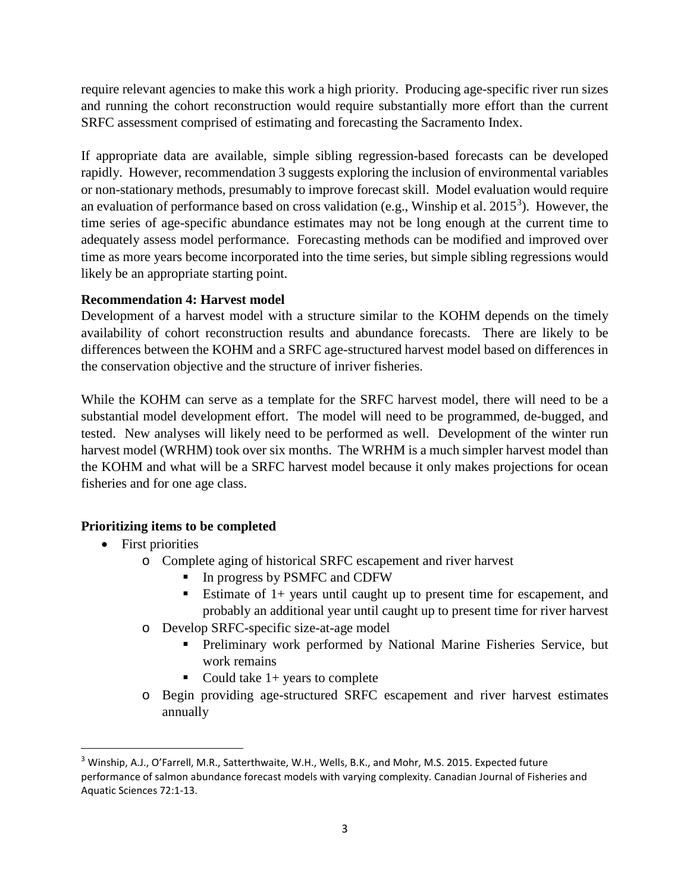require relevant agencies to make this work a high priority. Producing age-specific river run sizes and running the cohort reconstruction would require substantially more effort than the current SRFC assessment comprised of estimating and forecasting the Sacramento Index.

If appropriate data are available, simple sibling regression-based forecasts can be developed rapidly. However, recommendation 3 suggests exploring the inclusion of environmental variables or non-stationary methods, presumably to improve forecast skill. Model evaluation would require an evaluation of performance based on cross validation (e.g., Winship et al.  $2015<sup>3</sup>$  $2015<sup>3</sup>$  $2015<sup>3</sup>$ ). However, the time series of age-specific abundance estimates may not be long enough at the current time to adequately assess model performance. Forecasting methods can be modified and improved over time as more years become incorporated into the time series, but simple sibling regressions would likely be an appropriate starting point.

# **Recommendation 4: Harvest model**

Development of a harvest model with a structure similar to the KOHM depends on the timely availability of cohort reconstruction results and abundance forecasts. There are likely to be differences between the KOHM and a SRFC age-structured harvest model based on differences in the conservation objective and the structure of inriver fisheries.

While the KOHM can serve as a template for the SRFC harvest model, there will need to be a substantial model development effort. The model will need to be programmed, de-bugged, and tested. New analyses will likely need to be performed as well. Development of the winter run harvest model (WRHM) took over six months. The WRHM is a much simpler harvest model than the KOHM and what will be a SRFC harvest model because it only makes projections for ocean fisheries and for one age class.

# **Prioritizing items to be completed**

- First priorities
	- o Complete aging of historical SRFC escapement and river harvest
		- In progress by PSMFC and CDFW
		- Estimate of  $1+$  years until caught up to present time for escapement, and probably an additional year until caught up to present time for river harvest
	- o Develop SRFC-specific size-at-age model
		- Preliminary work performed by National Marine Fisheries Service, but work remains
		- Could take  $1+$  years to complete
	- o Begin providing age-structured SRFC escapement and river harvest estimates annually

<span id="page-2-0"></span> <sup>3</sup> Winship, A.J., O'Farrell, M.R., Satterthwaite, W.H., Wells, B.K., and Mohr, M.S. 2015. Expected future performance of salmon abundance forecast models with varying complexity. Canadian Journal of Fisheries and Aquatic Sciences 72:1-13.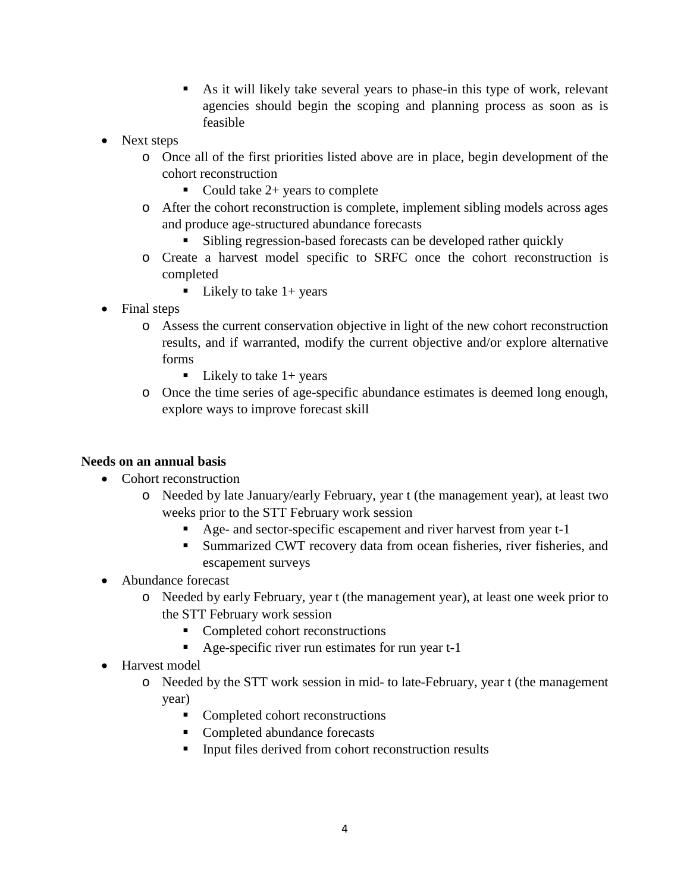- As it will likely take several years to phase-in this type of work, relevant agencies should begin the scoping and planning process as soon as is feasible
- Next steps
	- o Once all of the first priorities listed above are in place, begin development of the cohort reconstruction
		- Could take  $2+$  years to complete
	- o After the cohort reconstruction is complete, implement sibling models across ages and produce age-structured abundance forecasts
		- Sibling regression-based forecasts can be developed rather quickly
	- o Create a harvest model specific to SRFC once the cohort reconstruction is completed
		- Likely to take  $1+$  years
- Final steps
	- o Assess the current conservation objective in light of the new cohort reconstruction results, and if warranted, modify the current objective and/or explore alternative forms
		- Likely to take  $1+$  years
	- o Once the time series of age-specific abundance estimates is deemed long enough, explore ways to improve forecast skill

# **Needs on an annual basis**

- Cohort reconstruction
	- o Needed by late January/early February, year t (the management year), at least two weeks prior to the STT February work session
		- Age- and sector-specific escapement and river harvest from year t-1
		- Summarized CWT recovery data from ocean fisheries, river fisheries, and escapement surveys
- Abundance forecast
	- o Needed by early February, year t (the management year), at least one week prior to the STT February work session
		- Completed cohort reconstructions
		- Age-specific river run estimates for run year t-1
- Harvest model
	- o Needed by the STT work session in mid- to late-February, year t (the management year)
		- Completed cohort reconstructions
		- Completed abundance forecasts
		- Input files derived from cohort reconstruction results